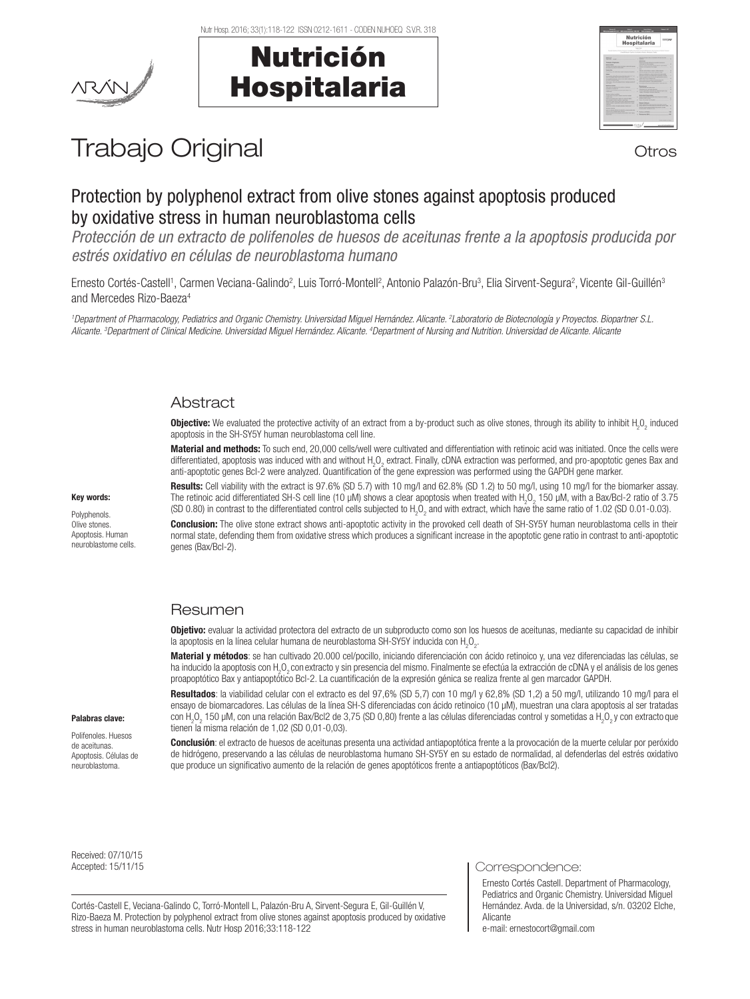Nutr Hosp. 2016; 33(1):118-122 ISSN 0212-1611 - CODEN NUHOEQ S.V.R. 318

Nutrición

Hospitalaria





# Trabajo Original **Trabajo Original**

# Protection by polyphenol extract from olive stones against apoptosis produced by oxidative stress in human neuroblastoma cells

*Protección de un extracto de polifenoles de huesos de aceitunas frente a la apoptosis producida por estrés oxidativo en células de neuroblastoma humano*

Ernesto Cortés-Castell<sup>1</sup>, Carmen Veciana-Galindo<sup>2</sup>, Luis Torró-Montell<sup>2</sup>, Antonio Palazón-Bru<sup>3</sup>, Elia Sirvent-Segura<sup>2</sup>, Vicente Gil-Guillén<sup>s</sup> and Mercedes Rizo-Baeza4

*1 Department of Pharmacology, Pediatrics and Organic Chemistry. Universidad Miguel Hernández. Alicante. 2 Laboratorio de Biotecnología y Proyectos. Biopartner S.L.*  Alicante. <sup>3</sup>Department of Clinical Medicine. Universidad Miguel Hernández. Alicante. <sup>4</sup>Department of Nursing and Nutrition. Universidad de Alicante. Alicante

### **Abstract**

**Objective:** We evaluated the protective activity of an extract from a by-product such as olive stones, through its ability to inhibit  $H_2D_2$  induced apoptosis in the SH-SY5Y human neuroblastoma cell line.

Material and methods: To such end, 20,000 cells/well were cultivated and differentiation with retinoic acid was initiated. Once the cells were differentiated, apoptosis was induced with and without H<sub>2</sub>O<sub>2</sub> extract. Finally, cDNA extraction was performed, and pro-apoptotic genes Bax and anti-apoptotic genes Bcl-2 were analyzed. Quantification of the gene expression was performed using the GAPDH gene marker.

Results: Cell viability with the extract is 97.6% (SD 5.7) with 10 mg/l and 62.8% (SD 1.2) to 50 mg/l, using 10 mg/l for the biomarker assay. The retinoic acid differentiated SH-S cell line (10 µM) shows a clear apoptosis when treated with H<sub>2</sub>O<sub>2</sub> 150 µM, with a Bax/Bcl-2 ratio of 3.75 (SD 0.80) in contrast to the differentiated control cells subjected to H<sub>2</sub>O<sub>2</sub> and with extract, which have the same ratio of 1.02 (SD 0.01-0.03).

Conclusion: The olive stone extract shows anti-apoptotic activity in the provoked cell death of SH-SY5Y human neuroblastoma cells in their normal state, defending them from oxidative stress which produces a significant increase in the apoptotic gene ratio in contrast to anti-apoptotic genes (Bax/Bcl-2).

## Resumen

Objetivo: evaluar la actividad protectora del extracto de un subproducto como son los huesos de aceitunas, mediante su capacidad de inhibir la apoptosis en la línea celular humana de neuroblastoma SH-SY5Y inducida con  $\mathsf{H}_{\scriptscriptstyle 2} \mathsf{O}_{\scriptscriptstyle 2}$ .

Material y métodos: se han cultivado 20.000 cel/pocillo, iniciando diferenciación con ácido retinoico y, una vez diferenciadas las células, se ha inducido la apoptosis con H<sub>2</sub>O<sub>2</sub> con extracto y sin presencia del mismo. Finalmente se efectúa la extracción de cDNA y el análisis de los genes proapoptótico Bax y antiapoptótico Bcl-2. La cuantificación de la expresión génica se realiza frente al gen marcador GAPDH.

Resultados: la viabilidad celular con el extracto es del 97,6% (SD 5,7) con 10 mg/l y 62,8% (SD 1,2) a 50 mg/l, utilizando 10 mg/l para el ensayo de biomarcadores. Las células de la línea SH-S diferenciadas con ácido retinoico (10 µM), muestran una clara apoptosis al ser tratadas con H<sub>2</sub>O<sub>2</sub> 150 µM, con una relación Bax/Bcl2 de 3,75 (SD 0,80) frente a las células diferenciadas control y sometidas a H<sub>2</sub>O<sub>2</sub> y con extracto que tienen la misma relación de 1,02 (SD 0,01-0,03).

Conclusión: el extracto de huesos de aceitunas presenta una actividad antiapoptótica frente a la provocación de la muerte celular por peróxido de hidrógeno, preservando a las células de neuroblastoma humano SH-SY5Y en su estado de normalidad, al defenderlas del estrés oxidativo que produce un significativo aumento de la relación de genes apoptóticos frente a antiapoptóticos (Bax/Bcl2).

Received: 07/10/15<br>Accepted: 15/11/15

Palabras clave: Polifenoles. Huesos de aceitunas. Apoptosis. Células de neuroblastoma.

Cortés-Castell E, Veciana-Galindo C, Torró-Montell L, Palazón-Bru A, Sirvent-Segura E, Gil-Guillén V, Rizo-Baeza M. Protection by polyphenol extract from olive stones against apoptosis produced by oxidative stress in human neuroblastoma cells. Nutr Hosp 2016;33:118-122

Correspondence:

Ernesto Cortés Castell. Department of Pharmacology, Pediatrics and Organic Chemistry. Universidad Miguel Hernández. Avda. de la Universidad, s/n. 03202 Elche, Alicante

e-mail: ernestocort@gmail.com

Key words: Polyphenols.

Olive stones. Apoptosis. Human neuroblastome cells.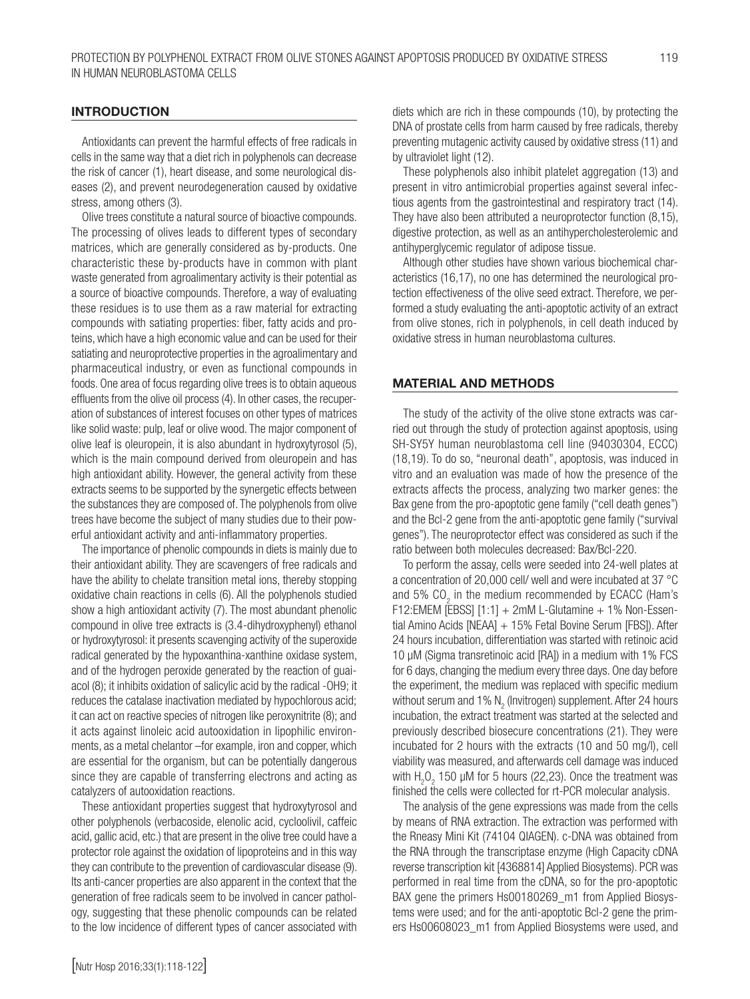#### **INTRODUCTION**

Antioxidants can prevent the harmful effects of free radicals in cells in the same way that a diet rich in polyphenols can decrease the risk of cancer (1), heart disease, and some neurological diseases (2), and prevent neurodegeneration caused by oxidative stress, among others (3).

Olive trees constitute a natural source of bioactive compounds. The processing of olives leads to different types of secondary matrices, which are generally considered as by-products. One characteristic these by-products have in common with plant waste generated from agroalimentary activity is their potential as a source of bioactive compounds. Therefore, a way of evaluating these residues is to use them as a raw material for extracting compounds with satiating properties: fiber, fatty acids and proteins, which have a high economic value and can be used for their satiating and neuroprotective properties in the agroalimentary and pharmaceutical industry, or even as functional compounds in foods. One area of focus regarding olive trees is to obtain aqueous effluents from the olive oil process (4). In other cases, the recuperation of substances of interest focuses on other types of matrices like solid waste: pulp, leaf or olive wood. The major component of olive leaf is oleuropein, it is also abundant in hydroxytyrosol (5), which is the main compound derived from oleuropein and has high antioxidant ability. However, the general activity from these extracts seems to be supported by the synergetic effects between the substances they are composed of. The polyphenols from olive trees have become the subject of many studies due to their powerful antioxidant activity and anti-inflammatory properties.

The importance of phenolic compounds in diets is mainly due to their antioxidant ability. They are scavengers of free radicals and have the ability to chelate transition metal ions, thereby stopping oxidative chain reactions in cells (6). All the polyphenols studied show a high antioxidant activity (7). The most abundant phenolic compound in olive tree extracts is (3.4-dihydroxyphenyl) ethanol or hydroxytyrosol: it presents scavenging activity of the superoxide radical generated by the hypoxanthina-xanthine oxidase system, and of the hydrogen peroxide generated by the reaction of guaiacol (8); it inhibits oxidation of salicylic acid by the radical -OH9; it reduces the catalase inactivation mediated by hypochlorous acid; it can act on reactive species of nitrogen like peroxynitrite (8); and it acts against linoleic acid autooxidation in lipophilic environments, as a metal chelantor –for example, iron and copper, which are essential for the organism, but can be potentially dangerous since they are capable of transferring electrons and acting as catalyzers of autooxidation reactions.

These antioxidant properties suggest that hydroxytyrosol and other polyphenols (verbacoside, elenolic acid, cycloolivil, caffeic acid, gallic acid, etc.) that are present in the olive tree could have a protector role against the oxidation of lipoproteins and in this way they can contribute to the prevention of cardiovascular disease (9). Its anti-cancer properties are also apparent in the context that the generation of free radicals seem to be involved in cancer pathology, suggesting that these phenolic compounds can be related to the low incidence of different types of cancer associated with

These polyphenols also inhibit platelet aggregation (13) and present in vitro antimicrobial properties against several infectious agents from the gastrointestinal and respiratory tract (14). They have also been attributed a neuroprotector function (8,15), digestive protection, as well as an antihypercholesterolemic and antihyperglycemic regulator of adipose tissue.

Although other studies have shown various biochemical characteristics (16,17), no one has determined the neurological protection effectiveness of the olive seed extract. Therefore, we performed a study evaluating the anti-apoptotic activity of an extract from olive stones, rich in polyphenols, in cell death induced by oxidative stress in human neuroblastoma cultures.

#### MATERIAL AND METHODS

The study of the activity of the olive stone extracts was carried out through the study of protection against apoptosis, using SH-SY5Y human neuroblastoma cell line (94030304, ECCC) (18,19). To do so, "neuronal death", apoptosis, was induced in vitro and an evaluation was made of how the presence of the extracts affects the process, analyzing two marker genes: the Bax gene from the pro-apoptotic gene family ("cell death genes") and the Bcl-2 gene from the anti-apoptotic gene family ("survival genes"). The neuroprotector effect was considered as such if the ratio between both molecules decreased: Bax/Bcl-220.

To perform the assay, cells were seeded into 24-well plates at a concentration of 20,000 cell/ well and were incubated at 37 °C and 5%  $CO<sub>2</sub>$  in the medium recommended by ECACC (Ham's F12:EMEM  $[EBSS]$  [1:1] + 2mM L-Glutamine + 1% Non-Essential Amino Acids [NEAA] + 15% Fetal Bovine Serum [FBS]). After 24 hours incubation, differentiation was started with retinoic acid 10 μM (Sigma transretinoic acid [RA]) in a medium with 1% FCS for 6 days, changing the medium every three days. One day before the experiment, the medium was replaced with specific medium without serum and 1%  $N_2$  (Invitrogen) supplement. After 24 hours incubation, the extract treatment was started at the selected and previously described biosecure concentrations (21). They were incubated for 2 hours with the extracts (10 and 50 mg/l), cell viability was measured, and afterwards cell damage was induced with  $H_2O_2$  150 µM for 5 hours (22,23). Once the treatment was finished the cells were collected for rt-PCR molecular analysis.

The analysis of the gene expressions was made from the cells by means of RNA extraction. The extraction was performed with the Rneasy Mini Kit (74104 QIAGEN). c-DNA was obtained from the RNA through the transcriptase enzyme (High Capacity cDNA reverse transcription kit [4368814] Applied Biosystems). PCR was performed in real time from the cDNA, so for the pro-apoptotic BAX gene the primers Hs00180269\_m1 from Applied Biosystems were used; and for the anti-apoptotic Bcl-2 gene the primers Hs00608023\_m1 from Applied Biosystems were used, and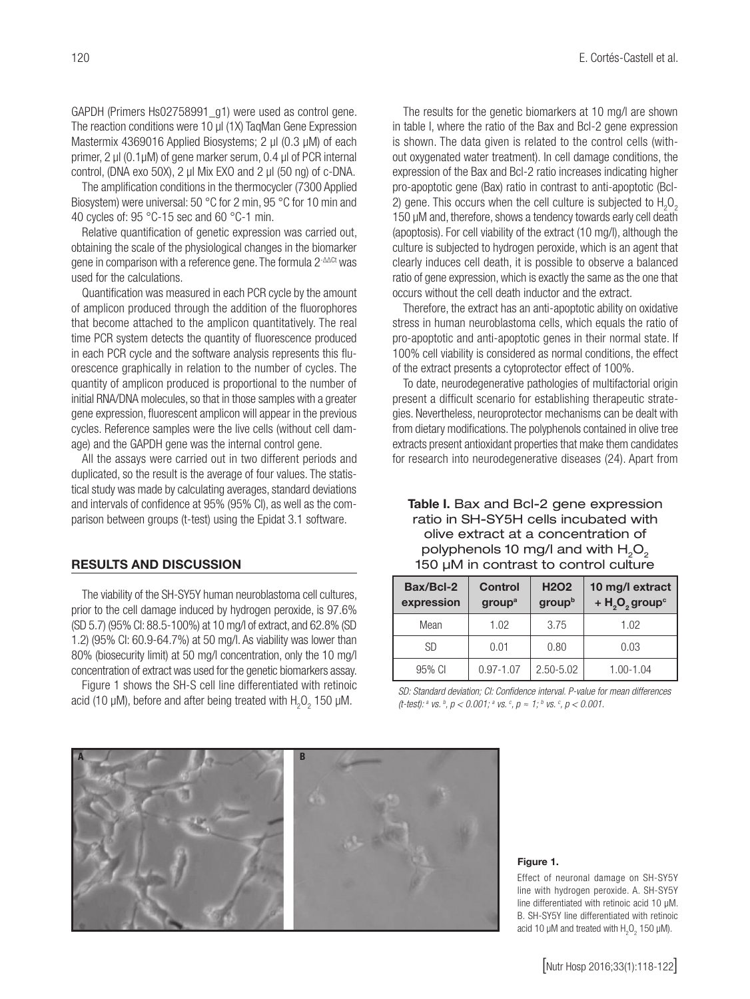GAPDH (Primers Hs02758991\_g1) were used as control gene. The reaction conditions were 10 μl (1X) TaqMan Gene Expression Mastermix 4369016 Applied Biosystems; 2 μl (0.3 μM) of each primer, 2 μl (0.1μM) of gene marker serum, 0.4 μl of PCR internal control, (DNA exo 50X), 2 μl Mix EXO and 2 μl (50 ng) of c-DNA.

The amplification conditions in the thermocycler (7300 Applied Biosystem) were universal: 50 °C for 2 min, 95 °C for 10 min and 40 cycles of: 95 °C-15 sec and 60 °C-1 min.

Relative quantification of genetic expression was carried out, obtaining the scale of the physiological changes in the biomarker gene in comparison with a reference gene. The formula 2<sup>-∆∆ct</sup> was used for the calculations.

Quantification was measured in each PCR cycle by the amount of amplicon produced through the addition of the fluorophores that become attached to the amplicon quantitatively. The real time PCR system detects the quantity of fluorescence produced in each PCR cycle and the software analysis represents this fluorescence graphically in relation to the number of cycles. The quantity of amplicon produced is proportional to the number of initial RNA/DNA molecules, so that in those samples with a greater gene expression, fluorescent amplicon will appear in the previous cycles. Reference samples were the live cells (without cell damage) and the GAPDH gene was the internal control gene.

All the assays were carried out in two different periods and duplicated, so the result is the average of four values. The statistical study was made by calculating averages, standard deviations and intervals of confidence at 95% (95% CI), as well as the comparison between groups (t-test) using the Epidat 3.1 software.

#### RESULTS AND DISCUSSION

The viability of the SH-SY5Y human neuroblastoma cell cultures, prior to the cell damage induced by hydrogen peroxide, is 97.6% (SD 5.7) (95% CI: 88.5-100%) at 10 mg/l of extract, and 62.8% (SD 1.2) (95% CI: 60.9-64.7%) at 50 mg/l. As viability was lower than 80% (biosecurity limit) at 50 mg/l concentration, only the 10 mg/l concentration of extract was used for the genetic biomarkers assay. Figure 1 shows the SH-S cell line differentiated with retinoic

acid (10 µM), before and after being treated with  $H_2O_2$  150 µM.

The results for the genetic biomarkers at 10 mg/l are shown in table I, where the ratio of the Bax and Bcl-2 gene expression is shown. The data given is related to the control cells (without oxygenated water treatment). In cell damage conditions, the expression of the Bax and Bcl-2 ratio increases indicating higher pro-apoptotic gene (Bax) ratio in contrast to anti-apoptotic (Bcl-2) gene. This occurs when the cell culture is subjected to  $H_2O_2$ 150 μM and, therefore, shows a tendency towards early cell death (apoptosis). For cell viability of the extract (10 mg/l), although the culture is subjected to hydrogen peroxide, which is an agent that clearly induces cell death, it is possible to observe a balanced ratio of gene expression, which is exactly the same as the one that occurs without the cell death inductor and the extract.

Therefore, the extract has an anti-apoptotic ability on oxidative stress in human neuroblastoma cells, which equals the ratio of pro-apoptotic and anti-apoptotic genes in their normal state. If 100% cell viability is considered as normal conditions, the effect of the extract presents a cytoprotector effect of 100%.

To date, neurodegenerative pathologies of multifactorial origin present a difficult scenario for establishing therapeutic strategies. Nevertheless, neuroprotector mechanisms can be dealt with from dietary modifications. The polyphenols contained in olive tree extracts present antioxidant properties that make them candidates for research into neurodegenerative diseases (24). Apart from

Table I. Bax and Bcl-2 gene expression ratio in SH-SY5H cells incubated with olive extract at a concentration of polyphenols 10 mg/l and with  $H_2O_2$ 150 μM in contrast to control culture

| Bax/Bcl-2<br>expression | <b>Control</b><br>group <sup>a</sup> | <b>H2O2</b><br>group <sup>b</sup> | 10 mg/l extract<br>+ H <sub>2</sub> O <sub>2</sub> group <sup>c</sup> |
|-------------------------|--------------------------------------|-----------------------------------|-----------------------------------------------------------------------|
| Mean                    | 1.02                                 | 3.75                              | 1.02                                                                  |
| SD                      | 0.01                                 | 0.80                              | 0.03                                                                  |
| 95% CI                  | $0.97 - 1.07$                        | $2.50 - 5.02$                     | $1.00 - 1.04$                                                         |

*SD: Standard deviation; CI: Confidence interval. P-value for mean differences (t-test):* <sup>*a*</sup> *vs.* <sup>*b*</sup>, *p* < 0.001; <sup>*a*</sup> *vs.* <sup>*c*</sup>, *p* ≈ 1; <sup>*b*</sup> *vs.* <sup>*c*</sup>, *p* < 0.001.



#### Figure 1.

Effect of neuronal damage on SH-SY5Y line with hydrogen peroxide. A. SH-SY5Y line differentiated with retinoic acid 10 µM. B. SH-SY5Y line differentiated with retinoic acid 10  $\mu$ M and treated with  $H_2O_2$  150  $\mu$ M).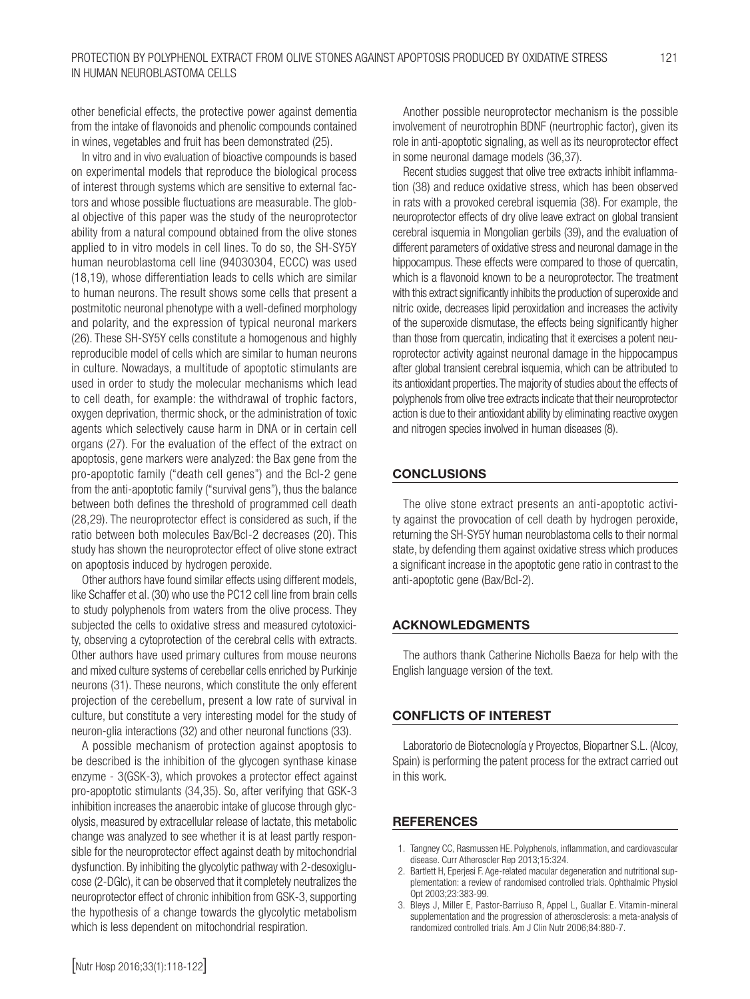other beneficial effects, the protective power against dementia from the intake of flavonoids and phenolic compounds contained in wines, vegetables and fruit has been demonstrated (25).

In vitro and in vivo evaluation of bioactive compounds is based on experimental models that reproduce the biological process of interest through systems which are sensitive to external factors and whose possible fluctuations are measurable. The global objective of this paper was the study of the neuroprotector ability from a natural compound obtained from the olive stones applied to in vitro models in cell lines. To do so, the SH-SY5Y human neuroblastoma cell line (94030304, ECCC) was used (18,19), whose differentiation leads to cells which are similar to human neurons. The result shows some cells that present a postmitotic neuronal phenotype with a well-defined morphology and polarity, and the expression of typical neuronal markers (26). These SH-SY5Y cells constitute a homogenous and highly reproducible model of cells which are similar to human neurons in culture. Nowadays, a multitude of apoptotic stimulants are used in order to study the molecular mechanisms which lead to cell death, for example: the withdrawal of trophic factors, oxygen deprivation, thermic shock, or the administration of toxic agents which selectively cause harm in DNA or in certain cell organs (27). For the evaluation of the effect of the extract on apoptosis, gene markers were analyzed: the Bax gene from the pro-apoptotic family ("death cell genes") and the Bcl-2 gene from the anti-apoptotic family ("survival gens"), thus the balance between both defines the threshold of programmed cell death (28,29). The neuroprotector effect is considered as such, if the ratio between both molecules Bax/Bcl-2 decreases (20). This study has shown the neuroprotector effect of olive stone extract on apoptosis induced by hydrogen peroxide.

Other authors have found similar effects using different models, like Schaffer et al. (30) who use the PC12 cell line from brain cells to study polyphenols from waters from the olive process. They subjected the cells to oxidative stress and measured cytotoxicity, observing a cytoprotection of the cerebral cells with extracts. Other authors have used primary cultures from mouse neurons and mixed culture systems of cerebellar cells enriched by Purkinje neurons (31). These neurons, which constitute the only efferent projection of the cerebellum, present a low rate of survival in culture, but constitute a very interesting model for the study of neuron-glia interactions (32) and other neuronal functions (33).

A possible mechanism of protection against apoptosis to be described is the inhibition of the glycogen synthase kinase enzyme - 3(GSK-3), which provokes a protector effect against pro-apoptotic stimulants (34,35). So, after verifying that GSK-3 inhibition increases the anaerobic intake of glucose through glycolysis, measured by extracellular release of lactate, this metabolic change was analyzed to see whether it is at least partly responsible for the neuroprotector effect against death by mitochondrial dysfunction. By inhibiting the glycolytic pathway with 2-desoxiglucose (2-DGlc), it can be observed that it completely neutralizes the neuroprotector effect of chronic inhibition from GSK-3, supporting the hypothesis of a change towards the glycolytic metabolism which is less dependent on mitochondrial respiration.

Recent studies suggest that olive tree extracts inhibit inflammation (38) and reduce oxidative stress, which has been observed in rats with a provoked cerebral isquemia (38). For example, the neuroprotector effects of dry olive leave extract on global transient cerebral isquemia in Mongolian gerbils (39), and the evaluation of different parameters of oxidative stress and neuronal damage in the hippocampus. These effects were compared to those of quercatin, which is a flavonoid known to be a neuroprotector. The treatment with this extract significantly inhibits the production of superoxide and nitric oxide, decreases lipid peroxidation and increases the activity of the superoxide dismutase, the effects being significantly higher than those from quercatin, indicating that it exercises a potent neuroprotector activity against neuronal damage in the hippocampus after global transient cerebral isquemia, which can be attributed to its antioxidant properties. The majority of studies about the effects of polyphenols from olive tree extracts indicate that their neuroprotector action is due to their antioxidant ability by eliminating reactive oxygen and nitrogen species involved in human diseases (8).

#### **CONCLUSIONS**

The olive stone extract presents an anti-apoptotic activity against the provocation of cell death by hydrogen peroxide, returning the SH-SY5Y human neuroblastoma cells to their normal state, by defending them against oxidative stress which produces a significant increase in the apoptotic gene ratio in contrast to the anti-apoptotic gene (Bax/Bcl-2).

#### ACKNOWLEDGMENTS

The authors thank Catherine Nicholls Baeza for help with the English language version of the text.

#### CONFLICTS OF INTEREST

Laboratorio de Biotecnología y Proyectos, Biopartner S.L. (Alcoy, Spain) is performing the patent process for the extract carried out in this work.

#### **REFERENCES**

- 1. Tangney CC, Rasmussen HE. Polyphenols, inflammation, and cardiovascular disease. Curr Atheroscler Rep 2013;15:324.
- 2. Bartlett H, Eperjesi F. Age-related macular degeneration and nutritional supplementation: a review of randomised controlled trials. Ophthalmic Physiol Opt 2003;23:383-99.
- 3. Bleys J, Miller E, Pastor-Barriuso R, Appel L, Guallar E. Vitamin-mineral supplementation and the progression of atherosclerosis: a meta-analysis of randomized controlled trials. Am J Clin Nutr 2006;84:880-7.